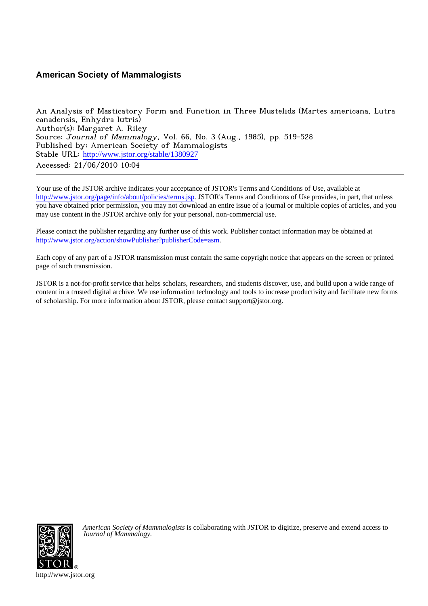# **American Society of Mammalogists**

An Analysis of Masticatory Form and Function in Three Mustelids (Martes americana, Lutra canadensis, Enhydra lutris) Author(s): Margaret A. Riley Source: Journal of Mammalogy, Vol. 66, No. 3 (Aug., 1985), pp. 519-528 Published by: American Society of Mammalogists Stable URL: [http://www.jstor.org/stable/1380927](http://www.jstor.org/stable/1380927?origin=JSTOR-pdf) Accessed: 21/06/2010 10:04

Your use of the JSTOR archive indicates your acceptance of JSTOR's Terms and Conditions of Use, available at <http://www.jstor.org/page/info/about/policies/terms.jsp>. JSTOR's Terms and Conditions of Use provides, in part, that unless you have obtained prior permission, you may not download an entire issue of a journal or multiple copies of articles, and you may use content in the JSTOR archive only for your personal, non-commercial use.

Please contact the publisher regarding any further use of this work. Publisher contact information may be obtained at <http://www.jstor.org/action/showPublisher?publisherCode=asm>.

Each copy of any part of a JSTOR transmission must contain the same copyright notice that appears on the screen or printed page of such transmission.

JSTOR is a not-for-profit service that helps scholars, researchers, and students discover, use, and build upon a wide range of content in a trusted digital archive. We use information technology and tools to increase productivity and facilitate new forms of scholarship. For more information about JSTOR, please contact support@jstor.org.



*American Society of Mammalogists* is collaborating with JSTOR to digitize, preserve and extend access to *Journal of Mammalogy.*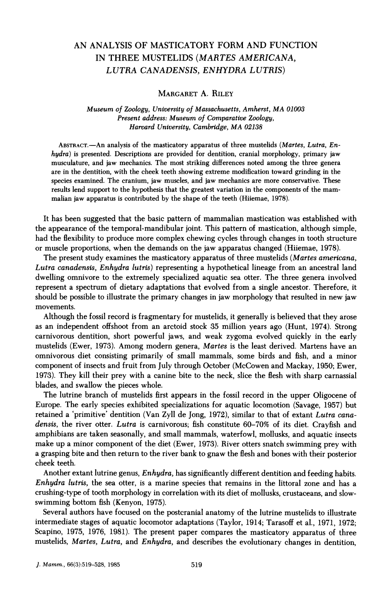## **AN ANALYSIS OF MASTICATORY FORM AND FUNCTION IN THREE MUSTELIDS (MARTES AMERICANA, LUTRA CANADENSIS, ENHYDRA LUTRIS)**

#### **MARGARET A. RILEY**

**Museum of Zoology, University of Massachusetts, Amherst, MA 01003 Present address: Museum of Comparative Zoology, Harvard University, Cambridge, MA 02138** 

**ABSTRACT.-An analysis of the masticatory apparatus of three mustelids (Martes, Lutra, Enhydra) is presented. Descriptions are provided for dentition, cranial morphology, primary jaw musculature, and jaw mechanics. The most striking differences noted among the three genera are in the dentition, with the cheek teeth showing extreme modification toward grinding in the species examined. The cranium, jaw muscles, and jaw mechanics are more conservative. These results lend support to the hypothesis that the greatest variation in the components of the mammalian jaw apparatus is contributed by the shape of the teeth (Hiiemae, 1978).** 

**It has been suggested that the basic pattern of mammalian mastication was established with the appearance of the temporal-mandibular joint. This pattern of mastication, although simple, had the flexibility to produce more complex chewing cycles through changes in tooth structure or muscle proportions, when the demands on the jaw apparatus changed (Hiiemae, 1978).** 

**The present study examines the masticatory apparatus of three mustelids (Martes americana, Lutra canadensis, Enhydra lutris) representing a hypothetical lineage from an ancestral land dwelling omnivore to the extremely specialized aquatic sea otter. The three genera involved represent a spectrum of dietary adaptations that evolved from a single ancestor. Therefore, it should be possible to illustrate the primary changes in jaw morphology that resulted in new jaw movements.** 

**Although the fossil record is fragmentary for mustelids, it generally is believed that they arose as an independent offshoot from an arctoid stock 35 million years ago (Hunt, 1974). Strong carnivorous dentition, short powerful jaws, and weak zygoma evolved quickly in the early mustelids (Ewer, 1973). Among modern genera, Martes is the least derived. Martens have an omnivorous diet consisting primarily of small mammals, some birds and fish, and a minor component of insects and fruit from July through October (McCowen and Mackay, 1950; Ewer, 1973). They kill their prey with a canine bite to the neck, slice the flesh with sharp carnassial blades, and swallow the pieces whole.** 

**The lutrine branch of mustelids first appears in the fossil record in the upper Oligocene of Europe. The early species exhibited specializations for aquatic locomotion (Savage, 1957) but retained a 'primitive' dentition (Van Zyll de Jong, 1972), similar to that of extant Lutra canadensis, the river otter. Lutra is carnivorous; fish constitute 60-70% of its diet. Crayfish and amphibians are taken seasonally, and small mammals, waterfowl, mollusks, and aquatic insects make up a minor component of the diet (Ewer, 1973). River otters snatch swimming prey with a grasping bite and then return to the river bank to gnaw the flesh and bones with their posterior cheek teeth.** 

**Another extant lutrine genus, Enhydra, has significantly different dentition and feeding habits. Enhydra lutris, the sea otter, is a marine species that remains in the littoral zone and has a crushing-type of tooth morphology in correlation with its diet of mollusks, crustaceans, and slowswimming bottom fish (Kenyon, 1975).** 

**Several authors have focused on the postcranial anatomy of the lutrine mustelids to illustrate intermediate stages of aquatic locomotor adaptations (Taylor, 1914; Tarasoff et al., 1971, 1972; Scapino, 1975, 1976, 1981). The present paper compares the masticatory apparatus of three mustelids, Martes, Lutra, and Enhydra, and describes the evolutionary changes in dentition,**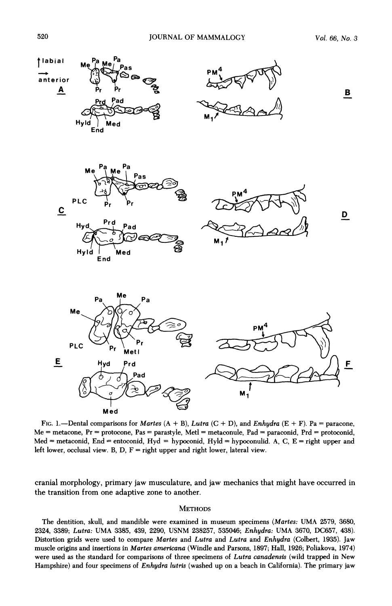

FIG. 1.-Dental comparisons for Martes  $(A + B)$ , Lutra  $(C + D)$ , and Enhydra  $(E + F)$ . Pa = paracone, **Me = metacone, Pr = protocone, Pas = parastyle, Metl = metaconule, Pad = paraconid, Prd = protoconid, Med = metaconid, End = entoconid, Hyd = hypoconid, Hyld = hypoconulid. A, C, E = right upper and**  left lower, occlusal view. B, D, F = right upper and right lower, lateral view.

**cranial morphology, primary jaw musculature, and jaw mechanics that might have occurred in the transition from one adaptive zone to another.** 

#### **METHODS**

**The dentition, skull, and mandible were examined in museum specimens (Martes: UMA 2579, 3680, 2324, 3389; Lutra: UMA 3385, 439, 2290, USNM 238257, 535046; Enhydra: UMA 3670, DC657, 438). Distortion grids were used to compare Martes and Lutra and Lutra and Enhydra (Colbert, 1935). Jaw muscle origins and insertions in Martes americana (Windle and Parsons, 1897; Hall, 1926; Poliakova, 1974) were used as the standard for comparisons of three specimens of Lutra canadensis (wild trapped in New Hampshire) and four specimens of Enhydra lutris (washed up on a beach in California). The primary jaw**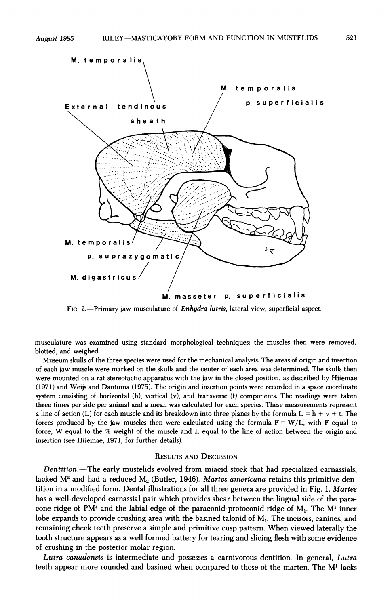

FIG. 2.-Primary jaw musculature of *Enhydra lutris*, lateral view, superficial aspect.

**musculature was examined using standard morphological techniques; the muscles then were removed, blotted, and weighed.** 

**Museum skulls of the three species were used for the mechanical analysis. The areas of origin and insertion of each jaw muscle were marked on the skulls and the center of each area was determined. The skulls then were mounted on a rat stereotactic apparatus with the jaw in the closed position, as described by Hiiemae (1971) and Weijs and Dantuma (1975). The origin and insertion points were recorded in a space coordinate system consisting of horizontal (h), vertical (v), and transverse (t) components. The readings were taken three times per side per animal and a mean was calculated for each species. These measurements represent a** line of action (L) for each muscle and its breakdown into three planes by the formula  $L = h + v + t$ . The forces produced by the jaw muscles then were calculated using the formula  $F = W/L$ , with F equal to **force, W equal to the % weight of the muscle and L equal to the line of action between the origin and insertion (see Hiiemae, 1971, for further details).** 

### **RESULTS AND DISCUSSION**

**Dentition.-The early mustelids evolved from miacid stock that had specialized carnassials,**  lacked M<sup>2</sup> and had a reduced M<sub>2</sub> (Butler, 1946). Martes americana retains this primitive den**tition in a modified form. Dental illustrations for all three genera are provided in Fig. 1. Martes has a well-developed carnassial pair which provides shear between the lingual side of the para**cone ridge of PM<sup>4</sup> and the labial edge of the paraconid-protoconid ridge of  $M_1$ . The M<sup>1</sup> inner **lobe expands to provide crushing area with the basined talonid of M,. The incisors, canines, and remaining cheek teeth preserve a simple and primitive cusp pattern. When viewed laterally the tooth structure appears as a well formed battery for tearing and slicing flesh with some evidence of crushing in the posterior molar region.** 

**Lutra canadensis is intermediate and possesses a carnivorous dentition. In general, Lutra teeth appear more rounded and basined when compared to those of the marten. The M1 lacks**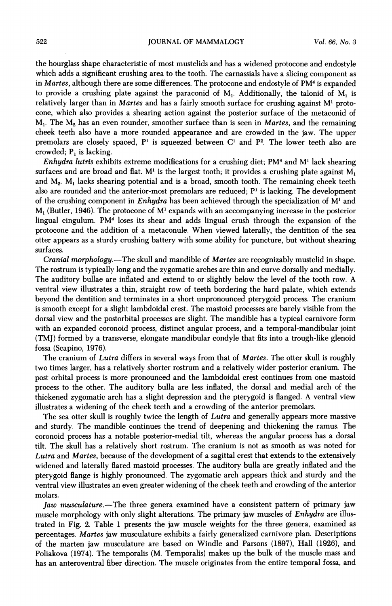**the hourglass shape characteristic of most mustelids and has a widened protocone and endostyle which adds a significant crushing area to the tooth. The carnassials have a slicing component as in Martes, although there are some differences. The protocone and endostyle of PM4 is expanded**  to provide a crushing plate against the paraconid of  $M_1$ . Additionally, the talonid of  $M_1$  is relatively larger than in Martes and has a fairly smooth surface for crushing against M<sup>1</sup> proto**cone, which also provides a shearing action against the posterior surface of the metaconid of**   $M_1$ . The  $M_2$  has an even rounder, smoother surface than is seen in *Martes*, and the remaining **cheek teeth also have a more rounded appearance and are crowded in the jaw. The upper premolars are closely spaced, PI is squeezed between C' and P2. The lower teeth also are crowded; P, is lacking.** 

**Enhydra lutris exhibits extreme modifications for a crushing diet; PM4 and M1 lack shearing**  surfaces and are broad and flat.  $M<sup>1</sup>$  is the largest tooth; it provides a crushing plate against  $M<sub>1</sub>$ **and M2. M, lacks shearing potential and is a broad, smooth tooth. The remaining cheek teeth**  also are rounded and the anterior-most premolars are reduced; P<sup>1</sup> is lacking. The development **of the crushing component in Enhydra has been achieved through the specialization of M1 and M, (Butler, 1946). The protocone of M1 expands with an accompanying increase in the posterior lingual cingulum. PM4 loses its shear and adds lingual crush through the expansion of the protocone and the addition of a metaconule. When viewed laterally, the dentition of the sea otter appears as a sturdy crushing battery with some ability for puncture, but without shearing surfaces.** 

**Cranial morphology.-The skull and mandible of Martes are recognizably mustelid in shape. The rostrum is typically long and the zygomatic arches are thin and curve dorsally and medially. The auditory bullae are inflated and extend to or slightly below the level of the tooth row. A ventral view illustrates a thin, straight row of teeth bordering the hard palate, which extends beyond the dentition and terminates in a short unpronounced pterygoid process. The cranium is smooth except for a slight lambdoidal crest. The mastoid processes are barely visible from the dorsal view and the postorbital processes are slight. The mandible has a typical carnivore form with an expanded coronoid process, distinct angular process, and a temporal-mandibular joint (TMJ) formed by a transverse, elongate mandibular condyle that fits into a trough-like glenoid fossa (Scapino, 1976).** 

**The cranium of Lutra differs in several ways from that of Martes. The otter skull is roughly two times larger, has a relatively shorter rostrum and a relatively wider posterior cranium. The post orbital process is more pronounced and the lambdoidal crest continues from one mastoid process to the other. The auditory bulla are less inflated, the dorsal and medial arch of the thickened zygomatic arch has a slight depression and the pterygoid is flanged. A ventral view illustrates a widening of the cheek teeth and a crowding of the anterior premolars.** 

**The sea otter skull is roughly twice the length of Lutra and generally appears more massive and sturdy. The mandible continues the trend of deepening and thickening the ramus. The coronoid process has a notable posterior-medial tilt, whereas the angular process has a dorsal tilt. The skull has a relatively short rostrum. The cranium is not as smooth as was noted for Lutra and Martes, because of the development of a sagittal crest that extends to the extensively widened and laterally flared mastoid processes. The auditory bulla are greatly inflated and the pterygoid flange is highly pronounced. The zygomatic arch appears thick and sturdy and the ventral view illustrates an even greater widening of the cheek teeth and crowding of the anterior molars.** 

**Jaw musculature.-The three genera examined have a consistent pattern of primary jaw muscle morphology with only slight alterations. The primary jaw muscles of Enhydra are illustrated in Fig. 2. Table 1 presents the jaw muscle weights for the three genera, examined as percentages. Martes jaw musculature exhibits a fairly generalized carnivore plan. Descriptions of the marten jaw musculature are based on Windle and Parsons (1897), Hall (1926), and Poliakova (1974). The temporalis (M. Temporalis) makes up the bulk of the muscle mass and has an anteroventral fiber direction. The muscle originates from the entire temporal fossa, and**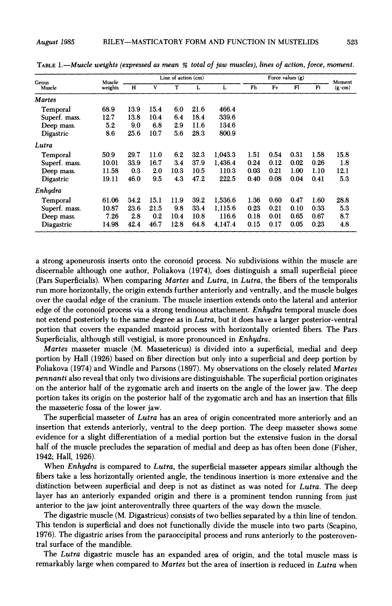| Genus<br>Muscle | Muscle<br>weights | Line of action (cm) |      |      |      |         | Force values (g) |      |      |      | Moment         |
|-----------------|-------------------|---------------------|------|------|------|---------|------------------|------|------|------|----------------|
|                 |                   | н                   | v    | т    | L    | L       | Fh               | Fv   | Fl   | Ft   | $(g \cdot cm)$ |
| Martes          |                   |                     |      |      |      |         |                  |      |      |      |                |
| Temporal        | 68.9              | 13.9                | 15.4 | 6.0  | 21.6 | 466.4   |                  |      |      |      |                |
| Superf. mass.   | 12.7              | 13.8                | 10.4 | 6.4  | 18.4 | 339.6   |                  |      |      |      |                |
| Deep mass.      | 5.2               | 9.0                 | 6.8  | 2.9  | 11.6 | 134.6   |                  |      |      |      |                |
| Digastric       | 86                | 25.6                | 10.7 | 5.6  | 28.3 | 800.9   |                  |      |      |      |                |
| Lutra           |                   |                     |      |      |      |         |                  |      |      |      |                |
| Temporal        | 50.9              | 29.7                | 11.0 | 6.2  | 32.3 | 1,043.3 | 1.51             | 0.54 | 0.31 | 1.58 | 15.8           |
| Superf. mass.   | 10.01             | 33.9                | 16.7 | 3.4  | 37.9 | 1,436.4 | 0.24             | 0.12 | 0.02 | 0.26 | $1.8\,$        |
| Deep mass.      | 11.58             | 0.3                 | 2.0  | 10.3 | 10.5 | 110.3   | 0.03             | 0.21 | 1.00 | 1.10 | 12.1           |
| Digastric       | 19.11             | 46.0                | 9.5  | 4.3  | 47.2 | 222.5   | 0.40             | 0.08 | 0.04 | 0.41 | 5.3            |
| Enhydra         |                   |                     |      |      |      |         |                  |      |      |      |                |
| Temporal        | 61.06             | 34.2                | 15.1 | 11.9 | 39.2 | 1,536.6 | 1.36             | 0.60 | 0.47 | 1.60 | 28.8           |
| Superf. mass.   | 10.87             | 23.6                | 21.5 | 9.8  | 33.4 | 1,115.6 | 0.23             | 0.21 | 0.10 | 0.33 | 5.3            |
| Deep mass.      | 7.26              | 2.8                 | 0.2  | 10.4 | 10.8 | 116.6   | 0.18             | 0.01 | 0.65 | 0.67 | 8.7            |
| Diagastric      | 14.98             | 42.4                | 46.7 | 12.8 | 64.8 | 4,147.4 | 0.15             | 0.17 | 0.05 | 0.23 | 4.8            |

**TABLE 1.-Muscle weights (expressed as mean % total of jaw muscles), lines of action, force, moment.** 

**a strong aponeurosis inserts onto the coronoid process. No subdivisions within the muscle are discernable although one author, Poliakova (1974), does distinguish a small superficial piece (Pars Superficialis). When comparing Martes and Lutra, in Lutra, the fibers of the temporalis run more horizontally, the origin extends further anteriorly and ventrally, and the muscle bulges over the caudal edge of the cranium. The muscle insertion extends onto the lateral and anterior edge of the coronoid process via a strong tendinous attachment. Enhydra temporal muscle does not extend posteriorly to the same degree as in Lutra, but it does have a larger posterior-ventral portion that covers the expanded mastoid process with horizontally oriented fibers. The Pars Superficialis, although still vestigial, is more pronounced in Enhydra.** 

**Martes masseter muscle (M. Massetericus) is divided into a superficial, medial and deep portion by Hall (1926) based on fiber direction but only into a superficial and deep portion by Poliakova (1974) and Windle and Parsons (1897). My observations on the closely related Martes pennanti also reveal that only two divisions are distinguishable. The superficial portion originates on the anterior half of the zygomatic arch and inserts on the angle of the lower jaw. The deep portion takes its origin on the posterior half of the zygomatic arch and has an insertion that fills the masseteric fossa of the lower jaw.** 

**The superficial masseter of Lutra has an area of origin concentrated more anteriorly and an insertion that extends anteriorly, ventral to the deep portion. The deep masseter shows some evidence for a slight differentiation of a medial portion but the extensive fusion in the dorsal half of the muscle precludes the separation of medial and deep as has often been done (Fisher, 1942; Hall, 1926).** 

**When Enhydra is compared to Lutra, the superficial masseter appears similar although the fibers take a less horizontally oriented angle, the tendinous insertion is more extensive and the distinction between superficial and deep is not as distinct as was noted for Lutra. The deep layer has an anteriorly expanded origin and there is a prominent tendon running from just anterior to the jaw joint anteroventrally three quarters of the way down the muscle.** 

**The digastric muscle (M. Digastricus) consists of two bellies separated by a thin line of tendon. This tendon is superficial and does not functionally divide the muscle into two parts (Scapino, 1976). The digastric arises from the paraoccipital process and runs anteriorly to the posteroventral surface of the mandible.** 

**The Lutra digastric muscle has an expanded area of origin, and the total muscle mass is remarkably large when compared to Martes but the area of insertion is reduced in Lutra when**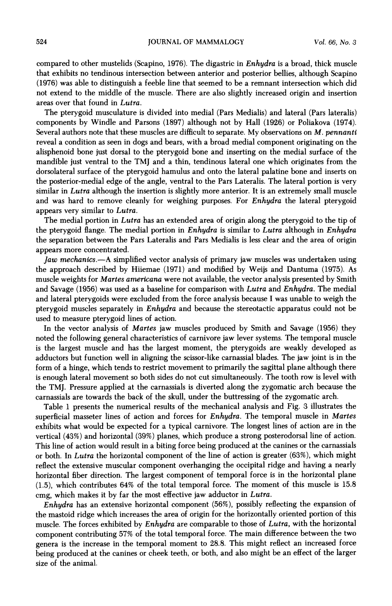**compared to other mustelids (Scapino, 1976). The digastric in Enhydra is a broad, thick muscle that exhibits no tendinous intersection between anterior and posterior bellies, although Scapino (1976) was able to distinguish a feeble line that seemed to be a remnant intersection which did not extend to the middle of the muscle. There are also slightly increased origin and insertion areas over that found in Lutra.** 

**The pterygoid musculature is divided into medial (Pars Medialis) and lateral (Pars lateralis) components by Windle and Parsons (1897) although not by Hall (1926) or Poliakova (1974). Several authors note that these muscles are difficult to separate. My observations on M. pennanti reveal a condition as seen in dogs and bears, with a broad medial component originating on the alisphenoid bone just dorsal to the pterygoid bone and inserting on the medial surface of the mandible just ventral to the TMJ and a thin, tendinous lateral one which originates from the dorsolateral surface of the pterygoid hamulus and onto the lateral palatine bone and inserts on the posterior-medial edge of the angle, ventral to the Pars Lateralis. The lateral portion is very similar in Lutra although the insertion is slightly more anterior. It is an extremely small muscle and was hard to remove cleanly for weighing purposes. For Enhydra the lateral pterygoid appears very similar to Lutra.** 

**The medial portion in Lutra has an extended area of origin along the pterygoid to the tip of the pterygoid flange. The medial portion in Enhydra is similar to Lutra although in Enhydra the separation between the Pars Lateralis and Pars Medialis is less clear and the area of origin appears more concentrated.** 

*Jaw mechanics.***—A simplified vector analysis of primary jaw muscles was undertaken using the approach described by Hiiemae (1971) and modified by Weijs and Dantuma (1975). As muscle weights for Martes americana were not available, the vector analysis presented by Smith and Savage (1956) was used as a baseline for comparison with Lutra and Enhydra. The medial and lateral pterygoids were excluded from the force analysis because I was unable to weigh the pterygoid muscles separately in Enhydra and because the stereotactic apparatus could not be used to measure pterygoid lines of action.** 

**In the vector analysis of Martes jaw muscles produced by Smith and Savage (1956) they noted the following general characteristics of carnivore jaw lever systems. The temporal muscle is the largest muscle and has the largest moment, the pterygoids are weakly developed as adductors but function well in aligning the scissor-like carnassial blades. The jaw joint is in the form of a hinge, which tends to restrict movement to primarily the sagittal plane although there is enough lateral movement so both sides do not cut simultaneously. The tooth row is level with the TMJ. Pressure applied at the carnassials is diverted along the zygomatic arch because the carnassials are towards the back of the skull, under the buttressing of the zygomatic arch.** 

**Table 1 presents the numerical results of the mechanical analysis and Fig. 3 illustrates the superficial masseter lines of action and forces for Enhydra. The temporal muscle in Martes exhibits what would be expected for a typical carnivore. The longest lines of action are in the vertical (43%) and horizontal (39%) planes, which produce a strong posterodorsal line of action. This line of action would result in a biting force being produced at the canines or the carnassials or both. In Lutra the horizontal component of the line of action is greater (63%), which might reflect the extensive muscular component overhanging the occipital ridge and having a nearly horizontal fiber direction. The largest component of temporal force is in the horizontal plane (1.5), which contributes 64% of the total temporal force. The moment of this muscle is 15.8 cmg, which makes it by far the most effective jaw adductor in Lutra.** 

**Enhydra has an extensive horizontal component (56%), possibly reflecting the expansion of the mastoid ridge which increases the area of origin for the horizontally oriented portion of this muscle. The forces exhibited by Enhydra are comparable to those of Lutra, with the horizontal component contributing 57% of the total temporal force. The main difference between the two genera is the increase in the temporal moment to 28.8. This might reflect an increased force being produced at the canines or cheek teeth, or both, and also might be an effect of the larger size of the animal.**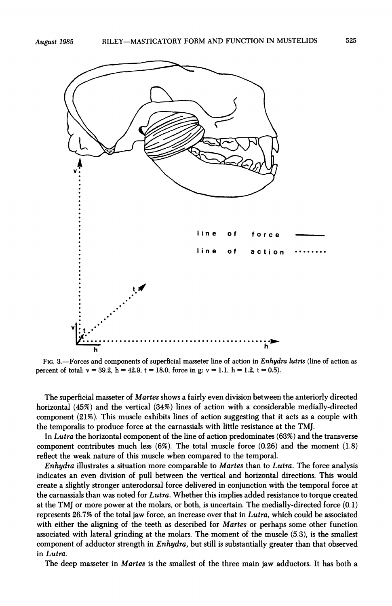

FIG. 3.-Forces and components of superficial masseter line of action in *Enhydra lutris* (line of action as **percent of total:**  $v = 39.2$ ,  $h = 42.9$ ,  $t = 18.0$ ; force in g:  $v = 1.1$ ,  $h = 1.2$ ,  $t = 0.5$ ).

**The superficial masseter of Martes shows a fairly even division between the anteriorly directed horizontal (45%) and the vertical (34%) lines of action with a considerable medially-directed component (21%). This muscle exhibits lines of action suggesting that it acts as a couple with the temporalis to produce force at the carnassials with little resistance at the TMJ.** 

**In Lutra the horizontal component of the line of action predominates (63%) and the transverse component contributes much less (6%). The total muscle force (0.26) and the moment (1.8) reflect the weak nature of this muscle when compared to the temporal.** 

**Enhydra illustrates a situation more comparable to Martes than to Lutra. The force analysis indicates an even division of pull between the vertical and horizontal directions. This would create a slightly stronger anterodorsal force delivered in conjunction with the temporal force at the carnassials than was noted for Lutra. Whether this implies added resistance to torque created at the TMJ or more power at the molars, or both, is uncertain. The medially-directed force (0.1) represents 26.7% of the total jaw force, an increase over that in Lutra, which could be associated with either the aligning of the teeth as described for Martes or perhaps some other function associated with lateral grinding at the molars. The moment of the muscle (5.3), is the smallest component of adductor strength in Enhydra, but still is substantially greater than that observed in Lutra.** 

**The deep masseter in Martes is the smallest of the three main jaw adductors. It has both a**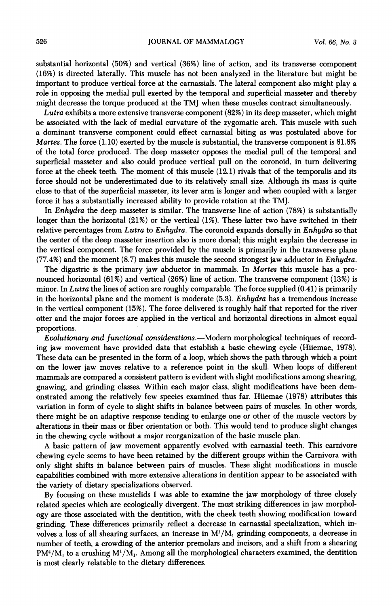**substantial horizontal (50%) and vertical (36%) line of action, and its transverse component (16%) is directed laterally. This muscle has not been analyzed in the literature but might be important to produce vertical force at the carnassials. The lateral component also might play a role in opposing the medial pull exerted by the temporal and superficial masseter and thereby might decrease the torque produced at the TMJ when these muscles contract simultaneously.** 

**Lutra exhibits a more extensive transverse component (82%) in its deep masseter, which might be associated with the lack of medial curvature of the zygomatic arch. This muscle with such a dominant transverse component could effect carnassial biting as was postulated above for Martes. The force (1.10) exerted by the muscle is substantial, the transverse component is 81.8% of the total force produced. The deep masseter opposes the medial pull of the temporal and superficial masseter and also could produce vertical pull on the coronoid, in turn delivering force at the cheek teeth. The moment of this muscle (12.1) rivals that of the temporalis and its force should not be underestimated due to its relatively small size. Although its mass is quite close to that of the superficial masseter, its lever arm is longer and when coupled with a larger force it has a substantially increased ability to provide rotation at the TMJ.** 

**In Enhydra the deep masseter is similar. The transverse line of action (78%) is substantially longer than the horizontal (21%) or the vertical (1%). These latter two have switched in their relative percentages from Lutra to Enhydra. The coronoid expands dorsally in Enhydra so that the center of the deep masseter insertion also is more dorsal; this might explain the decrease in the vertical component. The force provided by the muscle is primarily in the transverse plane (77.4%) and the moment (8.7) makes this muscle the second strongest jaw adductor in Enhydra.** 

**The digastric is the primary jaw abductor in mammals. In Martes this muscle has a pronounced horizontal (61%) and vertical (26%) line of action. The transverse component (13%) is minor. In Lutra the lines of action are roughly comparable. The force supplied (0.41) is primarily in the horizontal plane and the moment is moderate (5.3). Enhydra has a tremendous increase in the vertical component (15%). The force delivered is roughly half that reported for the river otter and the major forces are applied in the vertical and horizontal directions in almost equal proportions.** 

Evolutionary and functional considerations.—Modern morphological techniques of record**ing jaw movement have provided data that establish a basic chewing cycle (Hiiemae, 1978). These data can be presented in the form of a loop, which shows the path through which a point on the lower jaw moves relative to a reference point in the skull. When loops of different mammals are compared a consistent pattern is evident with slight modifications among shearing, gnawing, and grinding classes. Within each major class, slight modifications have been demonstrated among the relatively few species examined thus far. Hiiemae (1978) attributes this variation in form of cycle to slight shifts in balance between pairs of muscles. In other words, there might be an adaptive response tending to enlarge one or other of the muscle vectors by alterations in their mass or fiber orientation or both. This would tend to produce slight changes in the chewing cycle without a major reorganization of the basic muscle plan.** 

**A basic pattern of jaw movement apparently evolved with carnassial teeth. This carnivore chewing cycle seems to have been retained by the different groups within the Carnivora with only slight shifts in balance between pairs of muscles. These slight modifications in muscle capabilities combined with more extensive alterations in dentition appear to be associated with the variety of dietary specializations observed.** 

**By focusing on these mustelids I was able to examine the jaw morphology of three closely related species which are ecologically divergent. The most striking differences in jaw morphology are those associated with the dentition, with the cheek teeth showing modification toward grinding. These differences primarily reflect a decrease in carnassial specialization, which in**volves a loss of all shearing surfaces, an increase in  $M^1/M_1$  grinding components, a decrease in **number of teeth, a crowding of the anterior premolars and incisors, and a shift from a shearing**   $PM^4/M_1$  to a crushing  $M^1/M_1$ . Among all the morphological characters examined, the dentition **is most clearly relatable to the dietary differences.**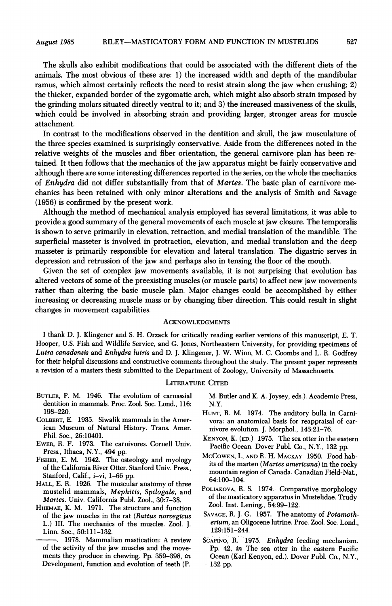**The skulls also exhibit modifications that could be associated with the different diets of the animals. The most obvious of these are: 1) the increased width and depth of the mandibular ramus, which almost certainly reflects the need to resist strain along the jaw when crushing; 2) the thicker, expanded border of the zygomatic arch, which might also absorb strain imposed by the grinding molars situated directly ventral to it; and 3) the increased massiveness of the skulls, which could be involved in absorbing strain and providing larger, stronger areas for muscle attachment.** 

**In contrast to the modifications observed in the dentition and skull, the jaw musculature of the three species examined is surprisingly conservative. Aside from the differences noted in the relative weights of the muscles and fiber orientation, the general carnivore plan has been retained. It then follows that the mechanics of the jaw apparatus might be fairly conservative and although there are some interesting differences reported in the series, on the whole the mechanics of Enhydra did not differ substantially from that of Martes. The basic plan of carnivore mechanics has been retained with only minor alterations and the analysis of Smith and Savage (1956) is confirmed by the present work.** 

**Although the method of mechanical analysis employed has several limitations, it was able to provide a good summary of the general movements of each muscle at jaw closure. The temporalis is shown to serve primarily in elevation, retraction, and medial translation of the mandible. The superficial masseter is involved in protraction, elevation, and medial translation and the deep masseter is primarily responsible for elevation and lateral translation. The digastric serves in depression and retrussion of the jaw and perhaps also in tensing the floor of the mouth.** 

**Given the set of complex jaw movements available, it is not surprising that evolution has altered vectors of some of the preexisting muscles (or muscle parts) to affect new jaw movements rather than altering the basic muscle plan. Major changes could be accomplished by either increasing or decreasing muscle mass or by changing fiber direction. This could result in slight changes in movement capabilities.** 

#### **ACKNOWLEDGMENTS**

**I thank D. J. Klingener and S. H. Orzack for critically reading earlier versions of this manuscript, E. T. Hooper, U.S. Fish and Wildlife Service, and G. Jones, Northeastern University, for providing specimens of Lutra canadensis and Enhydra lutris and D. J. Klingener, J. W. Winn, M. C. Coombs and L. R. Godfrey for their helpful discussions and constructive comments throughout the study. The present paper represents a revision of a masters thesis submitted to the Department of Zoology, University of Massachusetts.** 

#### **LITERATURE CITED**

- **BUTLER, P. M. 1946. The evolution of carnassial dentition in mammals. Proc. Zool. Soc. Lond., 116: 198-220.**
- **COLBERT, E. 1935. Siwalik mammals in the American Museum of Natural History. Trans. Amer. Phil. Soc., 26:10401.**
- **EWER, R. F. 1973. The carnivores. Cornell Univ. Press., Ithaca, N.Y., 494 pp.**
- **FISHER, E. M. 1942. The osteology and myology of the California River Otter. Stanford Univ. Press., Stanford, Calif., i-vi, 1-66 pp.**
- **HALL, E. R. 1926. The muscular anatomy of three mustelid mammals, Mephitis, Spilogale, and Martes. Univ. California Publ. Zool., 30:7-38.**
- **HIIEMAE, K. M. 1971. The structure and function of the jaw muscles in the rat (Rattus norvegicus L.) III. The mechanics of the muscles. Zool. J. Linn. Soc., 50:111-132.** 
	- **. 1978. Mammalian mastication: A review of the activity of the jaw muscles and the movements they produce in chewing. Pp. 359-398, in Development, function and evolution of teeth (P.**

**M. Butler and K. A. Joysey, eds.). Academic Press, N.Y.** 

- **HUNT, R. M. 1974. The auditory bulla in Carnivora: an anatomical basis for reappraisal of carnivore evolution. J. Morphol., 143:21-76.**
- **KENYON, K. (ED.) 1975. The sea otter in the eastern Pacific Ocean. Dover Publ. Co., N.Y., 132 pp.**
- **MCCOWEN, I., AND R. H. MACKAY 1950. Food habits of the marten (Martes americana) in the rocky mountain region of Canada. Canadian Field-Nat., 64:100-104.**
- **POLIAKOVA, R. S. 1974. Comparative morphology of the masticatory apparatus in Mustelidae. Trudy Zool. Inst. Lening., 54:99-122.**
- **SAVAGE, R. J. G. 1957. The anatomy of Potamotherium, an Oligocene lutrine. Proc. Zool. Soc. Lond., 129:151-244.**
- **SCAPINO, R. 1975. Enhydra feeding mechanism. Pp. 42, in The sea otter in the eastern Pacific Ocean (Karl Kenyon, ed.). Dover Publ. Co., N.Y., 132 pp.**